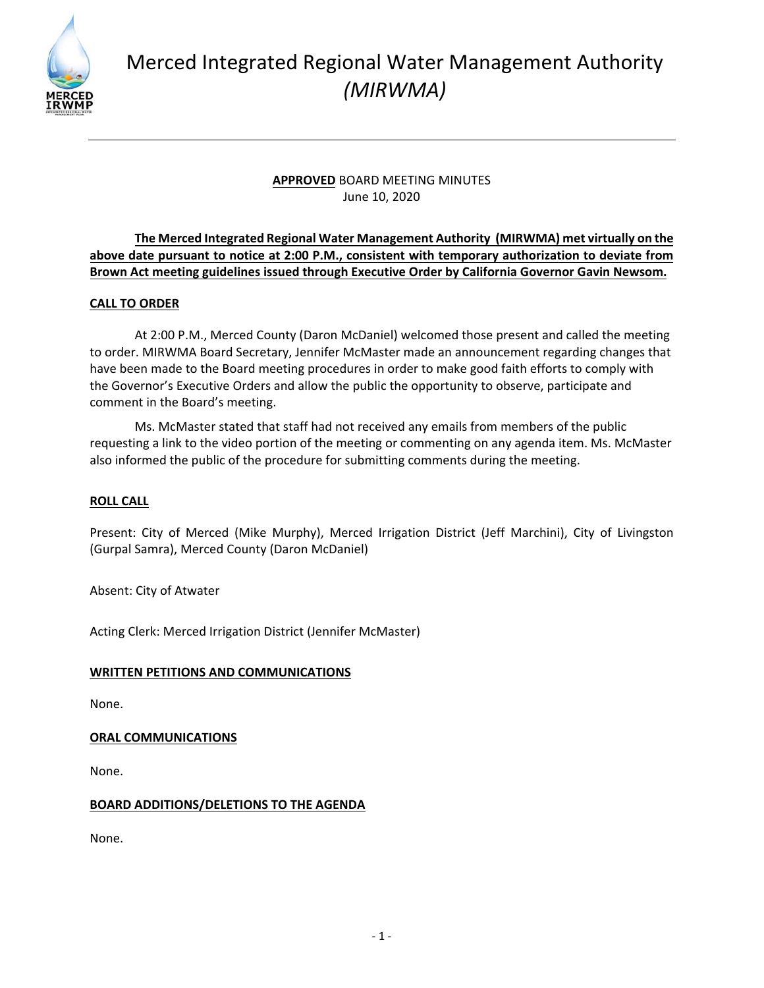

# Merced Integrated Regional Water Management Authority *(MIRWMA)*

# **APPROVED** BOARD MEETING MINUTES June 10, 2020

# **The Merced Integrated Regional Water Management Authority (MIRWMA) met virtually on the above date pursuant to notice at 2:00 P.M., consistent with temporary authorization to deviate from Brown Act meeting guidelines issued through Executive Order by California Governor Gavin Newsom.**

# **CALL TO ORDER**

At 2:00 P.M., Merced County (Daron McDaniel) welcomed those present and called the meeting to order. MIRWMA Board Secretary, Jennifer McMaster made an announcement regarding changes that have been made to the Board meeting procedures in order to make good faith efforts to comply with the Governor's Executive Orders and allow the public the opportunity to observe, participate and comment in the Board's meeting.

Ms. McMaster stated that staff had not received any emails from members of the public requesting a link to the video portion of the meeting or commenting on any agenda item. Ms. McMaster also informed the public of the procedure for submitting comments during the meeting.

# **ROLL CALL**

Present: City of Merced (Mike Murphy), Merced Irrigation District (Jeff Marchini), City of Livingston (Gurpal Samra), Merced County (Daron McDaniel)

Absent: City of Atwater

Acting Clerk: Merced Irrigation District (Jennifer McMaster)

# **WRITTEN PETITIONS AND COMMUNICATIONS**

None.

## **ORAL COMMUNICATIONS**

None.

## **BOARD ADDITIONS/DELETIONS TO THE AGENDA**

None.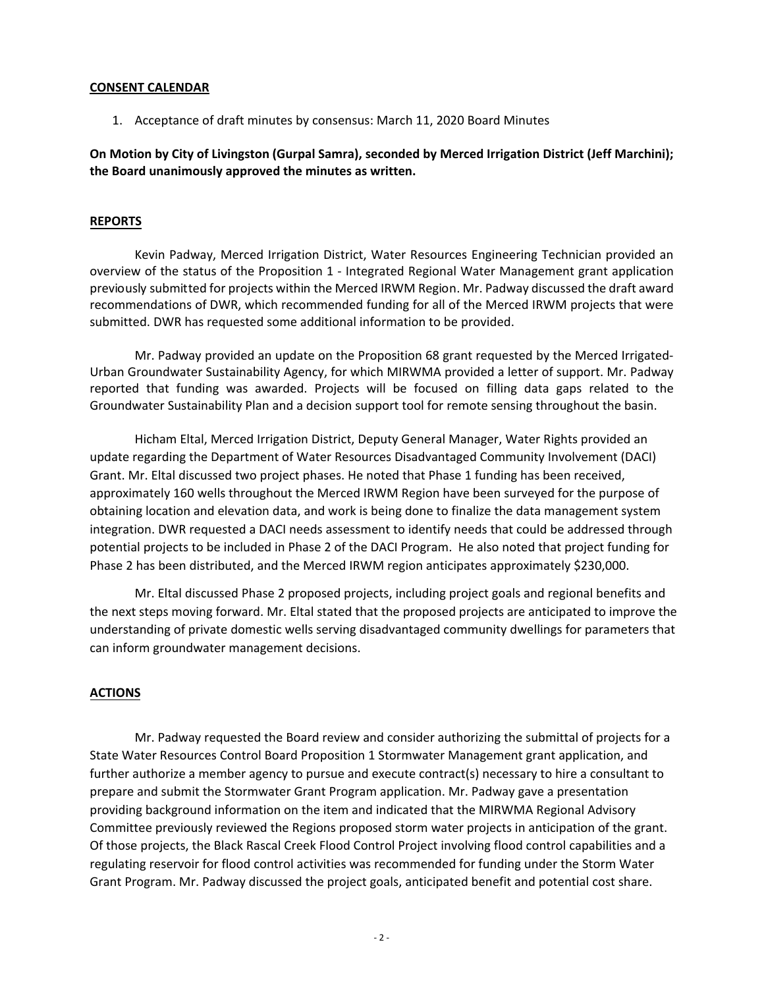#### **CONSENT CALENDAR**

1. Acceptance of draft minutes by consensus: March 11, 2020 Board Minutes

## **On Motion by City of Livingston (Gurpal Samra), seconded by Merced Irrigation District (Jeff Marchini); the Board unanimously approved the minutes as written.**

#### **REPORTS**

Kevin Padway, Merced Irrigation District, Water Resources Engineering Technician provided an overview of the status of the Proposition 1 ‐ Integrated Regional Water Management grant application previously submitted for projects within the Merced IRWM Region. Mr. Padway discussed the draft award recommendations of DWR, which recommended funding for all of the Merced IRWM projects that were submitted. DWR has requested some additional information to be provided.

Mr. Padway provided an update on the Proposition 68 grant requested by the Merced Irrigated‐ Urban Groundwater Sustainability Agency, for which MIRWMA provided a letter of support. Mr. Padway reported that funding was awarded. Projects will be focused on filling data gaps related to the Groundwater Sustainability Plan and a decision support tool for remote sensing throughout the basin.

Hicham Eltal, Merced Irrigation District, Deputy General Manager, Water Rights provided an update regarding the Department of Water Resources Disadvantaged Community Involvement (DACI) Grant. Mr. Eltal discussed two project phases. He noted that Phase 1 funding has been received, approximately 160 wells throughout the Merced IRWM Region have been surveyed for the purpose of obtaining location and elevation data, and work is being done to finalize the data management system integration. DWR requested a DACI needs assessment to identify needs that could be addressed through potential projects to be included in Phase 2 of the DACI Program. He also noted that project funding for Phase 2 has been distributed, and the Merced IRWM region anticipates approximately \$230,000.

Mr. Eltal discussed Phase 2 proposed projects, including project goals and regional benefits and the next steps moving forward. Mr. Eltal stated that the proposed projects are anticipated to improve the understanding of private domestic wells serving disadvantaged community dwellings for parameters that can inform groundwater management decisions.

## **ACTIONS**

Mr. Padway requested the Board review and consider authorizing the submittal of projects for a State Water Resources Control Board Proposition 1 Stormwater Management grant application, and further authorize a member agency to pursue and execute contract(s) necessary to hire a consultant to prepare and submit the Stormwater Grant Program application. Mr. Padway gave a presentation providing background information on the item and indicated that the MIRWMA Regional Advisory Committee previously reviewed the Regions proposed storm water projects in anticipation of the grant. Of those projects, the Black Rascal Creek Flood Control Project involving flood control capabilities and a regulating reservoir for flood control activities was recommended for funding under the Storm Water Grant Program. Mr. Padway discussed the project goals, anticipated benefit and potential cost share.